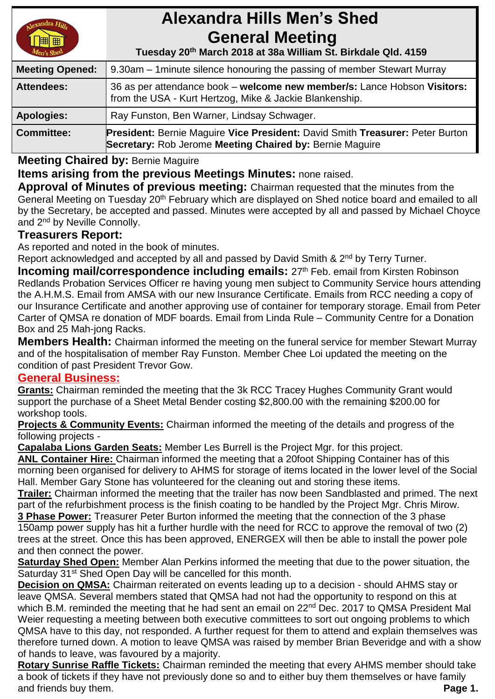# **Alexandra Hills Men's Shed General Meeting**

 **Tuesday 20th March 2018 at 38a William St. Birkdale Qld. 4159** 

| <b>Meeting Opened:</b> | 9.30am – 1 minute silence honouring the passing of member Stewart Murray                                                                         |  |
|------------------------|--------------------------------------------------------------------------------------------------------------------------------------------------|--|
| <b>Attendees:</b>      | 36 as per attendance book – welcome new member/s: Lance Hobson Visitors:<br>from the USA - Kurt Hertzog, Mike & Jackie Blankenship.              |  |
| <b>Apologies:</b>      | Ray Funston, Ben Warner, Lindsay Schwager.                                                                                                       |  |
| <b>Committee:</b>      | <b>President: Bernie Maguire Vice President: David Smith Treasurer: Peter Burton</b><br>Secretary: Rob Jerome Meeting Chaired by: Bernie Maguire |  |

# **Meeting Chaired by:** Bernie Maguire

**Items arising from the previous Meetings Minutes:** none raised.

**Approval of Minutes of previous meeting:** Chairman requested that the minutes from the General Meeting on Tuesday 20<sup>th</sup> February which are displayed on Shed notice board and emailed to all by the Secretary, be accepted and passed. Minutes were accepted by all and passed by Michael Choyce and 2<sup>nd</sup> by Neville Connolly.

# **Treasurers Report:**

As reported and noted in the book of minutes.

Report acknowledged and accepted by all and passed by David Smith & 2<sup>nd</sup> by Terry Turner.

**Incoming mail/correspondence including emails:** 27<sup>th</sup> Feb. email from Kirsten Robinson Redlands Probation Services Officer re having young men subject to Community Service hours attending the A.H.M.S. Email from AMSA with our new Insurance Certificate. Emails from RCC needing a copy of our Insurance Certificate and another approving use of container for temporary storage. Email from Peter Carter of QMSA re donation of MDF boards. Email from Linda Rule – Community Centre for a Donation Box and 25 Mah-jong Racks.

**Members Health:** Chairman informed the meeting on the funeral service for member Stewart Murray and of the hospitalisation of member Ray Funston. Member Chee Loi updated the meeting on the condition of past President Trevor Gow.

## **General Business:**

**Grants:** Chairman reminded the meeting that the 3k RCC Tracey Hughes Community Grant would support the purchase of a Sheet Metal Bender costing \$2,800.00 with the remaining \$200.00 for workshop tools.

**Projects & Community Events:** Chairman informed the meeting of the details and progress of the following projects -

**Capalaba Lions Garden Seats:** Member Les Burrell is the Project Mgr. for this project.

**ANL Container Hire:** Chairman informed the meeting that a 20foot Shipping Container has of this morning been organised for delivery to AHMS for storage of items located in the lower level of the Social Hall. Member Gary Stone has volunteered for the cleaning out and storing these items.

**Trailer:** Chairman informed the meeting that the trailer has now been Sandblasted and primed. The next part of the refurbishment process is the finish coating to be handled by the Project Mgr. Chris Mirow.

**3 Phase Power:** Treasurer Peter Burton informed the meeting that the connection of the 3 phase 150amp power supply has hit a further hurdle with the need for RCC to approve the removal of two (2) trees at the street. Once this has been approved, ENERGEX will then be able to install the power pole and then connect the power.

**Saturday Shed Open:** Member Alan Perkins informed the meeting that due to the power situation, the Saturday 31<sup>st</sup> Shed Open Day will be cancelled for this month.

**Decision on QMSA:** Chairman reiterated on events leading up to a decision - should AHMS stay or leave QMSA. Several members stated that QMSA had not had the opportunity to respond on this at which B.M. reminded the meeting that he had sent an email on 22<sup>nd</sup> Dec. 2017 to QMSA President Mal Weier requesting a meeting between both executive committees to sort out ongoing problems to which QMSA have to this day, not responded. A further request for them to attend and explain themselves was therefore turned down. A motion to leave QMSA was raised by member Brian Beveridge and with a show of hands to leave, was favoured by a majority.

**Rotary Sunrise Raffle Tickets:** Chairman reminded the meeting that every AHMS member should take a book of tickets if they have not previously done so and to either buy them themselves or have family and friends buy them. **Page 1.**